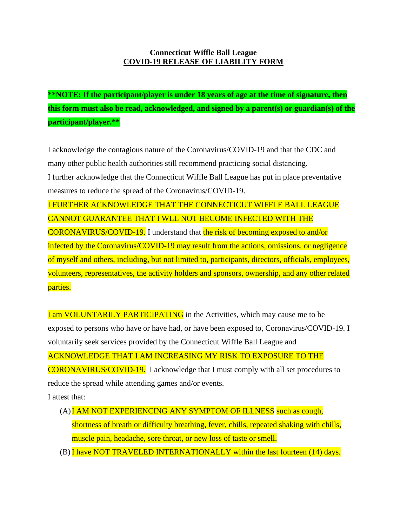## **Connecticut Wiffle Ball League COVID-19 RELEASE OF LIABILITY FORM**

**\*\*NOTE: If the participant/player is under 18 years of age at the time of signature, then this form must also be read, acknowledged, and signed by a parent(s) or guardian(s) of the participant/player.\*\***

I acknowledge the contagious nature of the Coronavirus/COVID-19 and that the CDC and many other public health authorities still recommend practicing social distancing.

I further acknowledge that the Connecticut Wiffle Ball League has put in place preventative measures to reduce the spread of the Coronavirus/COVID-19.

I FURTHER ACKNOWLEDGE THAT THE CONNECTICUT WIFFLE BALL LEAGUE CANNOT GUARANTEE THAT I WLL NOT BECOME INFECTED WITH THE CORONAVIRUS/COVID-19. I understand that the risk of becoming exposed to and/or infected by the Coronavirus/COVID-19 may result from the actions, omissions, or negligence of myself and others, including, but not limited to, participants, directors, officials, employees, volunteers, representatives, the activity holders and sponsors, ownership, and any other related parties.

I am VOLUNTARILY PARTICIPATING in the Activities, which may cause me to be exposed to persons who have or have had, or have been exposed to, Coronavirus/COVID-19. I voluntarily seek services provided by the Connecticut Wiffle Ball League and ACKNOWLEDGE THAT I AM INCREASING MY RISK TO EXPOSURE TO THE CORONAVIRUS/COVID-19. I acknowledge that I must comply with all set procedures to reduce the spread while attending games and/or events.

I attest that:

- (A)I AM NOT EXPERIENCING ANY SYMPTOM OF ILLNESS such as cough, shortness of breath or difficulty breathing, fever, chills, repeated shaking with chills, muscle pain, headache, sore throat, or new loss of taste or smell.
- (B) I have NOT TRAVELED INTERNATIONALLY within the last fourteen (14) days.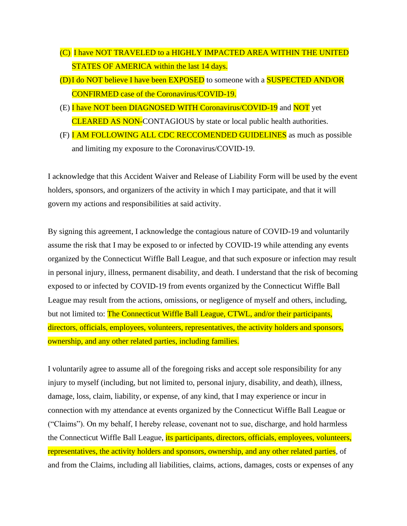- (C) I have NOT TRAVELED to a HIGHLY IMPACTED AREA WITHIN THE UNITED STATES OF AMERICA within the last 14 days.
- (D) I do NOT believe I have been EXPOSED to someone with a SUSPECTED AND/OR CONFIRMED case of the Coronavirus/COVID-19.
- (E) I have NOT been DIAGNOSED WITH Coronavirus/COVID-19 and NOT yet CLEARED AS NON-CONTAGIOUS by state or local public health authorities.
- (F) **I AM FOLLOWING ALL CDC RECCOMENDED GUIDELINES** as much as possible and limiting my exposure to the Coronavirus/COVID-19.

I acknowledge that this Accident Waiver and Release of Liability Form will be used by the event holders, sponsors, and organizers of the activity in which I may participate, and that it will govern my actions and responsibilities at said activity.

By signing this agreement, I acknowledge the contagious nature of COVID-19 and voluntarily assume the risk that I may be exposed to or infected by COVID-19 while attending any events organized by the Connecticut Wiffle Ball League, and that such exposure or infection may result in personal injury, illness, permanent disability, and death. I understand that the risk of becoming exposed to or infected by COVID-19 from events organized by the Connecticut Wiffle Ball League may result from the actions, omissions, or negligence of myself and others, including, but not limited to: The Connecticut Wiffle Ball League, CTWL, and/or their participants, directors, officials, employees, volunteers, representatives, the activity holders and sponsors, ownership, and any other related parties, including families.

I voluntarily agree to assume all of the foregoing risks and accept sole responsibility for any injury to myself (including, but not limited to, personal injury, disability, and death), illness, damage, loss, claim, liability, or expense, of any kind, that I may experience or incur in connection with my attendance at events organized by the Connecticut Wiffle Ball League or ("Claims"). On my behalf, I hereby release, covenant not to sue, discharge, and hold harmless the Connecticut Wiffle Ball League, its participants, directors, officials, employees, volunteers, representatives, the activity holders and sponsors, ownership, and any other related parties, of and from the Claims, including all liabilities, claims, actions, damages, costs or expenses of any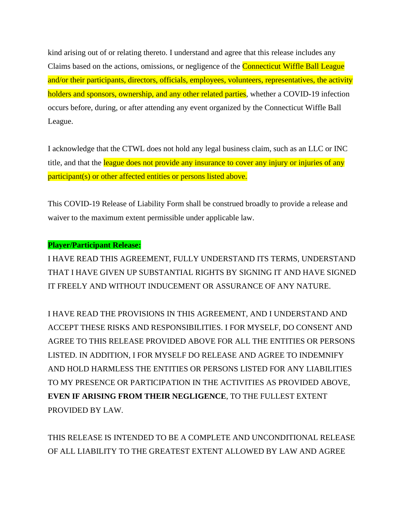kind arising out of or relating thereto. I understand and agree that this release includes any Claims based on the actions, omissions, or negligence of the Connecticut Wiffle Ball League and/or their participants, directors, officials, employees, volunteers, representatives, the activity holders and sponsors, ownership, and any other related parties, whether a COVID-19 infection occurs before, during, or after attending any event organized by the Connecticut Wiffle Ball League.

I acknowledge that the CTWL does not hold any legal business claim, such as an LLC or INC title, and that the league does not provide any insurance to cover any injury or injuries of any participant(s) or other affected entities or persons listed above.

This COVID-19 Release of Liability Form shall be construed broadly to provide a release and waiver to the maximum extent permissible under applicable law.

## **Player/Participant Release:**

I HAVE READ THIS AGREEMENT, FULLY UNDERSTAND ITS TERMS, UNDERSTAND THAT I HAVE GIVEN UP SUBSTANTIAL RIGHTS BY SIGNING IT AND HAVE SIGNED IT FREELY AND WITHOUT INDUCEMENT OR ASSURANCE OF ANY NATURE.

I HAVE READ THE PROVISIONS IN THIS AGREEMENT, AND I UNDERSTAND AND ACCEPT THESE RISKS AND RESPONSIBILITIES. I FOR MYSELF, DO CONSENT AND AGREE TO THIS RELEASE PROVIDED ABOVE FOR ALL THE ENTITIES OR PERSONS LISTED. IN ADDITION, I FOR MYSELF DO RELEASE AND AGREE TO INDEMNIFY AND HOLD HARMLESS THE ENTITIES OR PERSONS LISTED FOR ANY LIABILITIES TO MY PRESENCE OR PARTICIPATION IN THE ACTIVITIES AS PROVIDED ABOVE, **EVEN IF ARISING FROM THEIR NEGLIGENCE**, TO THE FULLEST EXTENT PROVIDED BY LAW.

THIS RELEASE IS INTENDED TO BE A COMPLETE AND UNCONDITIONAL RELEASE OF ALL LIABILITY TO THE GREATEST EXTENT ALLOWED BY LAW AND AGREE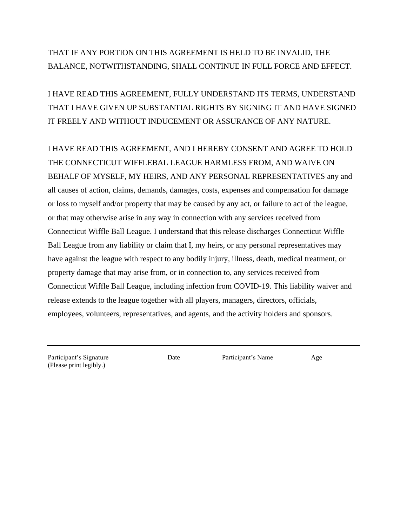## THAT IF ANY PORTION ON THIS AGREEMENT IS HELD TO BE INVALID, THE BALANCE, NOTWITHSTANDING, SHALL CONTINUE IN FULL FORCE AND EFFECT.

I HAVE READ THIS AGREEMENT, FULLY UNDERSTAND ITS TERMS, UNDERSTAND THAT I HAVE GIVEN UP SUBSTANTIAL RIGHTS BY SIGNING IT AND HAVE SIGNED IT FREELY AND WITHOUT INDUCEMENT OR ASSURANCE OF ANY NATURE.

I HAVE READ THIS AGREEMENT, AND I HEREBY CONSENT AND AGREE TO HOLD THE CONNECTICUT WIFFLEBAL LEAGUE HARMLESS FROM, AND WAIVE ON BEHALF OF MYSELF, MY HEIRS, AND ANY PERSONAL REPRESENTATIVES any and all causes of action, claims, demands, damages, costs, expenses and compensation for damage or loss to myself and/or property that may be caused by any act, or failure to act of the league, or that may otherwise arise in any way in connection with any services received from Connecticut Wiffle Ball League. I understand that this release discharges Connecticut Wiffle Ball League from any liability or claim that I, my heirs, or any personal representatives may have against the league with respect to any bodily injury, illness, death, medical treatment, or property damage that may arise from, or in connection to, any services received from Connecticut Wiffle Ball League, including infection from COVID-19. This liability waiver and release extends to the league together with all players, managers, directors, officials, employees, volunteers, representatives, and agents, and the activity holders and sponsors.

Participant's Signature 1986 Date Participant's Name Age (Please print legibly.)